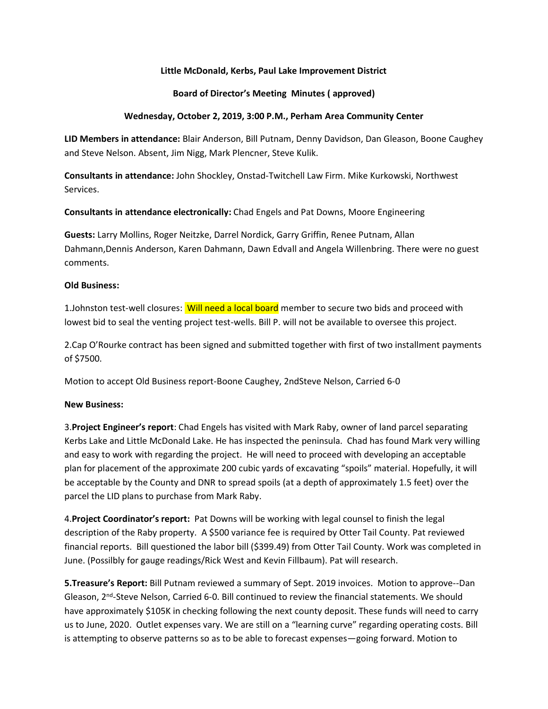# **Little McDonald, Kerbs, Paul Lake Improvement District**

## **Board of Director's Meeting Minutes ( approved)**

### **Wednesday, October 2, 2019, 3:00 P.M., Perham Area Community Center**

**LID Members in attendance:** Blair Anderson, Bill Putnam, Denny Davidson, Dan Gleason, Boone Caughey and Steve Nelson. Absent, Jim Nigg, Mark Plencner, Steve Kulik.

**Consultants in attendance:** John Shockley, Onstad-Twitchell Law Firm. Mike Kurkowski, Northwest Services.

**Consultants in attendance electronically:** Chad Engels and Pat Downs, Moore Engineering

**Guests:** Larry Mollins, Roger Neitzke, Darrel Nordick, Garry Griffin, Renee Putnam, Allan Dahmann,Dennis Anderson, Karen Dahmann, Dawn Edvall and Angela Willenbring. There were no guest comments.

### **Old Business:**

1.Johnston test-well closures: Will need a local board member to secure two bids and proceed with lowest bid to seal the venting project test-wells. Bill P. will not be available to oversee this project.

2.Cap O'Rourke contract has been signed and submitted together with first of two installment payments of \$7500.

Motion to accept Old Business report-Boone Caughey, 2ndSteve Nelson, Carried 6-0

# **New Business:**

3.**Project Engineer's report**: Chad Engels has visited with Mark Raby, owner of land parcel separating Kerbs Lake and Little McDonald Lake. He has inspected the peninsula. Chad has found Mark very willing and easy to work with regarding the project. He will need to proceed with developing an acceptable plan for placement of the approximate 200 cubic yards of excavating "spoils" material. Hopefully, it will be acceptable by the County and DNR to spread spoils (at a depth of approximately 1.5 feet) over the parcel the LID plans to purchase from Mark Raby.

4.**Project Coordinator's report:** Pat Downs will be working with legal counsel to finish the legal description of the Raby property. A \$500 variance fee is required by Otter Tail County. Pat reviewed financial reports. Bill questioned the labor bill (\$399.49) from Otter Tail County. Work was completed in June. (Possilbly for gauge readings/Rick West and Kevin Fillbaum). Pat will research.

**5.Treasure's Report:** Bill Putnam reviewed a summary of Sept. 2019 invoices. Motion to approve--Dan Gleason, 2<sup>nd</sup>-Steve Nelson, Carried 6-0. Bill continued to review the financial statements. We should have approximately \$105K in checking following the next county deposit. These funds will need to carry us to June, 2020. Outlet expenses vary. We are still on a "learning curve" regarding operating costs. Bill is attempting to observe patterns so as to be able to forecast expenses—going forward. Motion to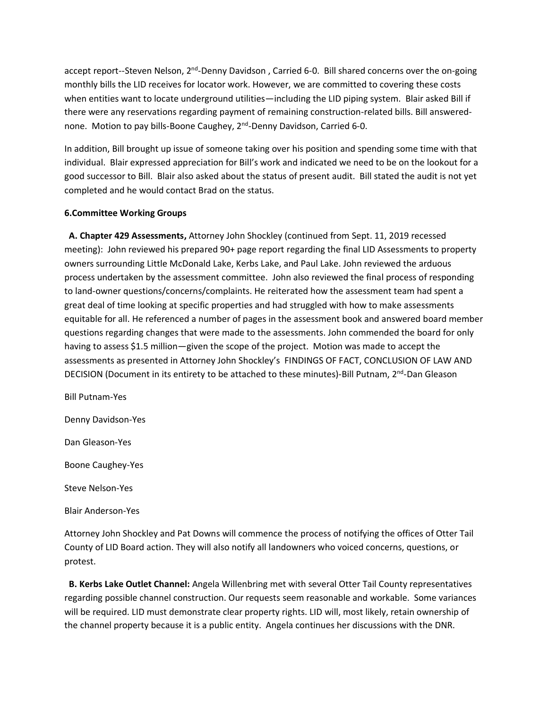accept report--Steven Nelson, 2<sup>nd</sup>-Denny Davidson, Carried 6-0. Bill shared concerns over the on-going monthly bills the LID receives for locator work. However, we are committed to covering these costs when entities want to locate underground utilities—including the LID piping system. Blair asked Bill if there were any reservations regarding payment of remaining construction-related bills. Bill answerednone. Motion to pay bills-Boone Caughey, 2<sup>nd</sup>-Denny Davidson, Carried 6-0.

In addition, Bill brought up issue of someone taking over his position and spending some time with that individual. Blair expressed appreciation for Bill's work and indicated we need to be on the lookout for a good successor to Bill. Blair also asked about the status of present audit. Bill stated the audit is not yet completed and he would contact Brad on the status.

# **6.Committee Working Groups**

 **A. Chapter 429 Assessments,** Attorney John Shockley (continued from Sept. 11, 2019 recessed meeting): John reviewed his prepared 90+ page report regarding the final LID Assessments to property owners surrounding Little McDonald Lake, Kerbs Lake, and Paul Lake. John reviewed the arduous process undertaken by the assessment committee. John also reviewed the final process of responding to land-owner questions/concerns/complaints. He reiterated how the assessment team had spent a great deal of time looking at specific properties and had struggled with how to make assessments equitable for all. He referenced a number of pages in the assessment book and answered board member questions regarding changes that were made to the assessments. John commended the board for only having to assess \$1.5 million—given the scope of the project. Motion was made to accept the assessments as presented in Attorney John Shockley's FINDINGS OF FACT, CONCLUSION OF LAW AND DECISION (Document in its entirety to be attached to these minutes)-Bill Putnam, 2<sup>nd</sup>-Dan Gleason

Bill Putnam-Yes

Denny Davidson-Yes

Dan Gleason-Yes

Boone Caughey-Yes

Steve Nelson-Yes

Blair Anderson-Yes

Attorney John Shockley and Pat Downs will commence the process of notifying the offices of Otter Tail County of LID Board action. They will also notify all landowners who voiced concerns, questions, or protest.

 **B. Kerbs Lake Outlet Channel:** Angela Willenbring met with several Otter Tail County representatives regarding possible channel construction. Our requests seem reasonable and workable. Some variances will be required. LID must demonstrate clear property rights. LID will, most likely, retain ownership of the channel property because it is a public entity. Angela continues her discussions with the DNR.